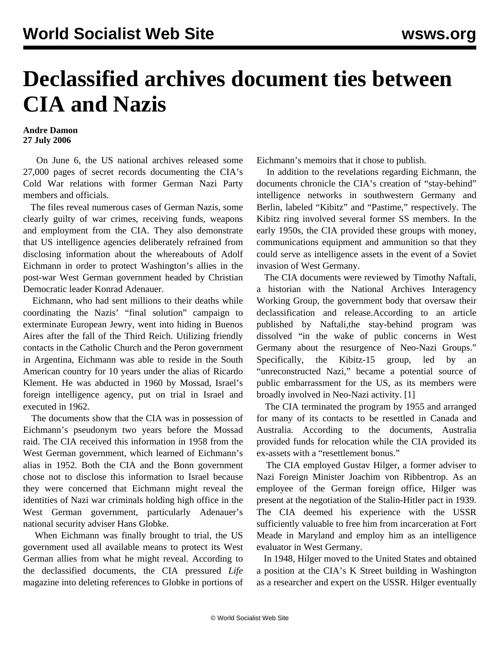## **Declassified archives document ties between CIA and Nazis**

## **Andre Damon 27 July 2006**

 On June 6, the US national archives released some 27,000 pages of secret records documenting the CIA's Cold War relations with former German Nazi Party members and officials.

 The files reveal numerous cases of German Nazis, some clearly guilty of war crimes, receiving funds, weapons and employment from the CIA. They also demonstrate that US intelligence agencies deliberately refrained from disclosing information about the whereabouts of Adolf Eichmann in order to protect Washington's allies in the post-war West German government headed by Christian Democratic leader Konrad Adenauer.

 Eichmann, who had sent millions to their deaths while coordinating the Nazis' "final solution" campaign to exterminate European Jewry, went into hiding in Buenos Aires after the fall of the Third Reich. Utilizing friendly contacts in the Catholic Church and the Peron government in Argentina, Eichmann was able to reside in the South American country for 10 years under the alias of Ricardo Klement. He was abducted in 1960 by Mossad, Israel's foreign intelligence agency, put on trial in Israel and executed in 1962.

 The documents show that the CIA was in possession of Eichmann's pseudonym two years before the Mossad raid. The CIA received this information in 1958 from the West German government, which learned of Eichmann's alias in 1952. Both the CIA and the Bonn government chose not to disclose this information to Israel because they were concerned that Eichmann might reveal the identities of Nazi war criminals holding high office in the West German government, particularly Adenauer's national security adviser Hans Globke.

 When Eichmann was finally brought to trial, the US government used all available means to protect its West German allies from what he might reveal. According to the declassified documents, the CIA pressured *Life* magazine into deleting references to Globke in portions of Eichmann's memoirs that it chose to publish.

 In addition to the revelations regarding Eichmann, the documents chronicle the CIA's creation of "stay-behind" intelligence networks in southwestern Germany and Berlin, labeled "Kibitz" and "Pastime," respectively. The Kibitz ring involved several former SS members. In the early 1950s, the CIA provided these groups with money, communications equipment and ammunition so that they could serve as intelligence assets in the event of a Soviet invasion of West Germany.

 The CIA documents were reviewed by Timothy Naftali, a historian with the National Archives Interagency Working Group, the government body that oversaw their declassification and release.According to an article published by Naftali,the stay-behind program was dissolved "in the wake of public concerns in West Germany about the resurgence of Neo-Nazi Groups." Specifically, the Kibitz-15 group, led by an "unreconstructed Nazi," became a potential source of public embarrassment for the US, as its members were broadly involved in Neo-Nazi activity. [1]

 The CIA terminated the program by 1955 and arranged for many of its contacts to be resettled in Canada and Australia. According to the documents, Australia provided funds for relocation while the CIA provided its ex-assets with a "resettlement bonus."

 The CIA employed Gustav Hilger, a former adviser to Nazi Foreign Minister Joachim von Ribbentrop. As an employee of the German foreign office, Hilger was present at the negotiation of the Stalin-Hitler pact in 1939. The CIA deemed his experience with the USSR sufficiently valuable to free him from incarceration at Fort Meade in Maryland and employ him as an intelligence evaluator in West Germany.

 In 1948, Hilger moved to the United States and obtained a position at the CIA's K Street building in Washington as a researcher and expert on the USSR. Hilger eventually